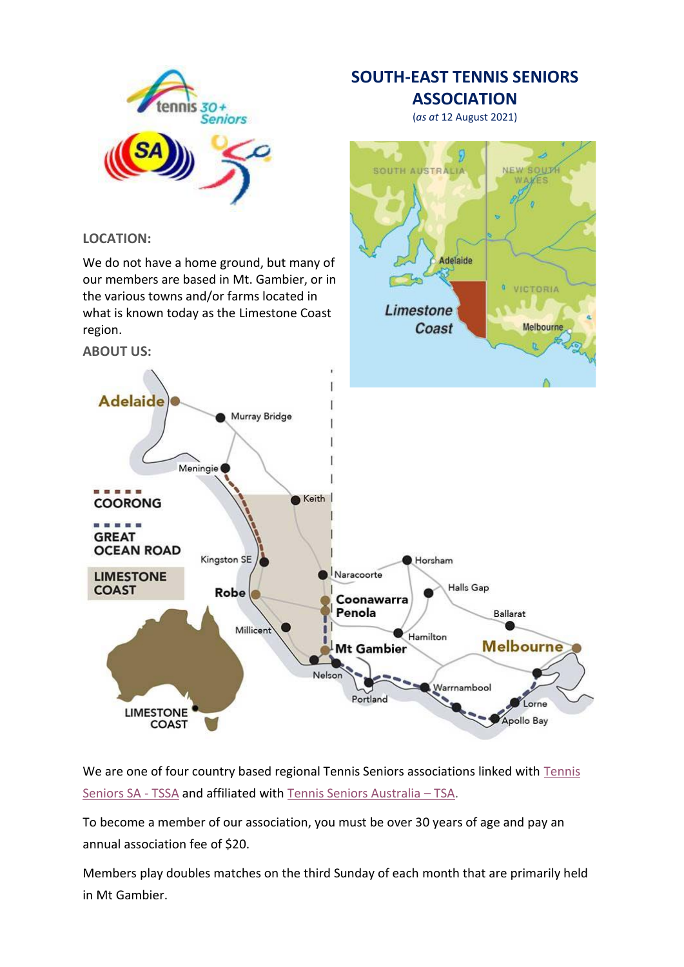

We are one of four country based regional [Tennis](https://play.tennis.com.au/TennisSeniorsSA) Seniors associations linked with Tennis [Seniors SA](https://play.tennis.com.au/TennisSeniorsSA) - TSSA and affiliated with [Tennis Seniors Australia](http://www.tennisseniors.org.au/) – TSA.

To become a member of our association, you must be over 30 years of age and pay an annual association fee of \$20.

Members play doubles matches on the third Sunday of each month that are primarily held in Mt Gambier.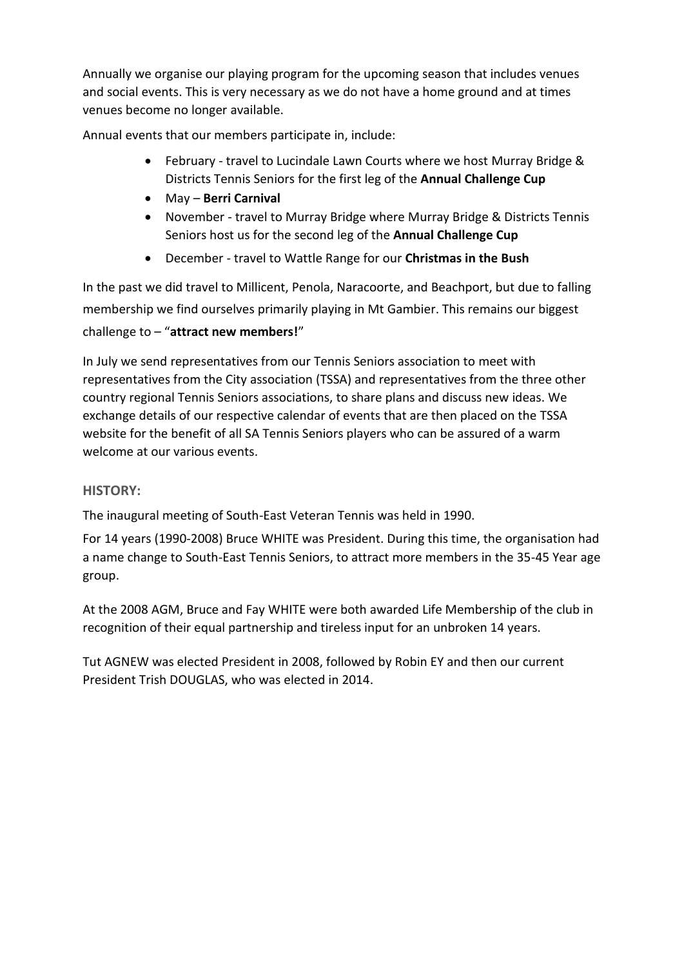Annually we organise our playing program for the upcoming season that includes venues and social events. This is very necessary as we do not have a home ground and at times venues become no longer available.

Annual events that our members participate in, include:

- February travel to Lucindale Lawn Courts where we host Murray Bridge & Districts Tennis Seniors for the first leg of the **Annual Challenge Cup**
- May **Berri Carnival**
- November travel to Murray Bridge where Murray Bridge & Districts Tennis Seniors host us for the second leg of the **Annual Challenge Cup**
- December travel to Wattle Range for our **Christmas in the Bush**

In the past we did travel to Millicent, Penola, Naracoorte, and Beachport, but due to falling membership we find ourselves primarily playing in Mt Gambier. This remains our biggest challenge to – "**attract new members!**"

In July we send representatives from our Tennis Seniors association to meet with representatives from the City association (TSSA) and representatives from the three other country regional Tennis Seniors associations, to share plans and discuss new ideas. We exchange details of our respective calendar of events that are then placed on the TSSA website for the benefit of all SA Tennis Seniors players who can be assured of a warm welcome at our various events.

## **HISTORY:**

The inaugural meeting of South-East Veteran Tennis was held in 1990.

For 14 years (1990-2008) Bruce WHITE was President. During this time, the organisation had a name change to South-East Tennis Seniors, to attract more members in the 35-45 Year age group.

At the 2008 AGM, Bruce and Fay WHITE were both awarded Life Membership of the club in recognition of their equal partnership and tireless input for an unbroken 14 years.

Tut AGNEW was elected President in 2008, followed by Robin EY and then our current President Trish DOUGLAS, who was elected in 2014.